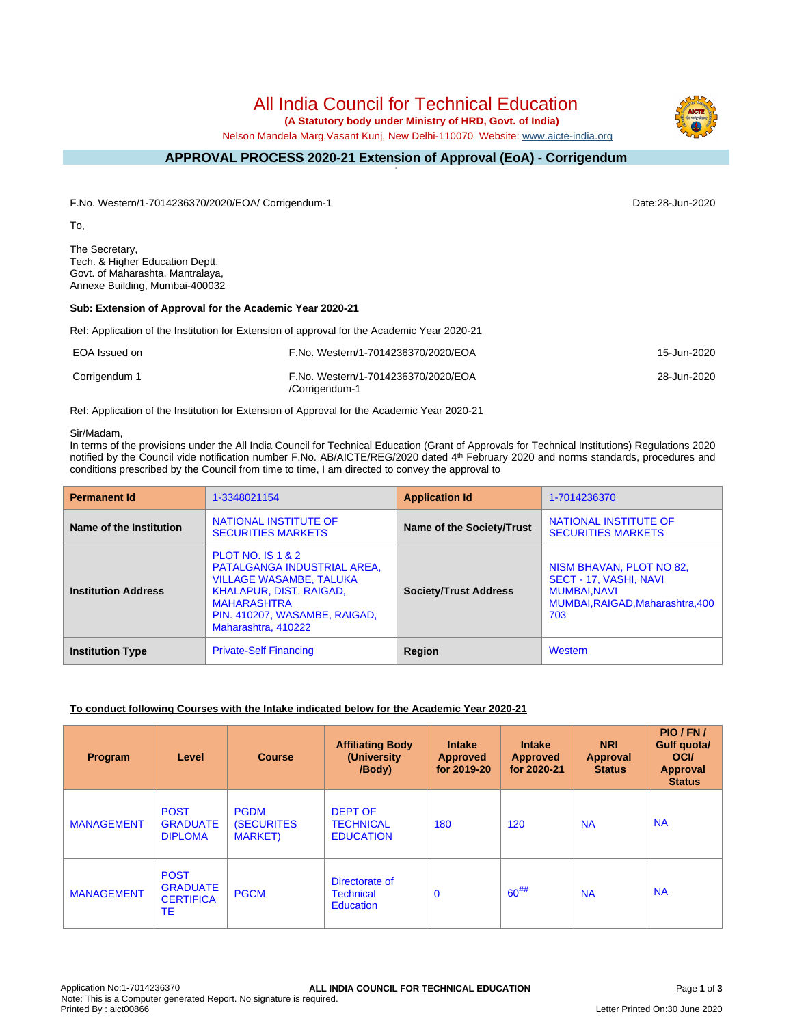# All India Council for Technical Education

 **(A Statutory body under Ministry of HRD, Govt. of India)**

Nelson Mandela Marg,Vasant Kunj, New Delhi-110070 Website: [www.aicte-india.org](http://www.aicte-india.org)

#### **APPROVAL PROCESS 2020-21 Extension of Approval (EoA) - Corrigendum -**

F.No. Western/1-7014236370/2020/EOA/ Corrigendum-1 Date:28-Jun-2020

To,

The Secretary, Tech. & Higher Education Deptt. Govt. of Maharashta, Mantralaya, Annexe Building, Mumbai-400032

#### **Sub: Extension of Approval for the Academic Year 2020-21**

Ref: Application of the Institution for Extension of approval for the Academic Year 2020-21

| EOA Issued on | F.No. Western/1-7014236370/2020/EOA                   | 15-Jun-2020 |
|---------------|-------------------------------------------------------|-------------|
| Corrigendum 1 | F.No. Western/1-7014236370/2020/EOA<br>/Corrigendum-1 | 28-Jun-2020 |

Ref: Application of the Institution for Extension of Approval for the Academic Year 2020-21

#### Sir/Madam,

In terms of the provisions under the All India Council for Technical Education (Grant of Approvals for Technical Institutions) Regulations 2020 notified by the Council vide notification number F.No. AB/AICTE/REG/2020 dated 4<sup>th</sup> February 2020 and norms standards, procedures and conditions prescribed by the Council from time to time, I am directed to convey the approval to

| <b>Permanent Id</b>        | 1-3348021154                                                                                                                                                                                           | <b>Application Id</b>        | 1-7014236370                                                                                                        |  |
|----------------------------|--------------------------------------------------------------------------------------------------------------------------------------------------------------------------------------------------------|------------------------------|---------------------------------------------------------------------------------------------------------------------|--|
| Name of the Institution    | NATIONAL INSTITUTE OF<br><b>SECURITIES MARKETS</b>                                                                                                                                                     | Name of the Society/Trust    | NATIONAL INSTITUTE OF<br><b>SECURITIES MARKETS</b>                                                                  |  |
| <b>Institution Address</b> | <b>PLOT NO. IS 1 &amp; 2</b><br>PATALGANGA INDUSTRIAL AREA,<br><b>VILLAGE WASAMBE, TALUKA</b><br>KHALAPUR, DIST. RAIGAD,<br><b>MAHARASHTRA</b><br>PIN. 410207, WASAMBE, RAIGAD,<br>Maharashtra, 410222 | <b>Society/Trust Address</b> | NISM BHAVAN, PLOT NO 82,<br>SECT - 17, VASHI, NAVI<br><b>MUMBAI.NAVI</b><br>MUMBAI, RAIGAD, Maharashtra, 400<br>703 |  |
| <b>Institution Type</b>    | <b>Private-Self Financing</b>                                                                                                                                                                          | Region                       | Western                                                                                                             |  |

## **To conduct following Courses with the Intake indicated below for the Academic Year 2020-21**

| <b>Program</b>    | Level                                                    | <b>Course</b>                                        | <b>Affiliating Body</b><br>(University<br>/Body)       | <b>Intake</b><br><b>Approved</b><br>for 2019-20 | <b>Intake</b><br><b>Approved</b><br>for 2020-21 | <b>NRI</b><br>Approval<br><b>Status</b> | PIO/FN/<br>Gulf quota/<br><b>OCI</b><br>Approval<br><b>Status</b> |
|-------------------|----------------------------------------------------------|------------------------------------------------------|--------------------------------------------------------|-------------------------------------------------|-------------------------------------------------|-----------------------------------------|-------------------------------------------------------------------|
| <b>MANAGEMENT</b> | <b>POST</b><br><b>GRADUATE</b><br><b>DIPLOMA</b>         | <b>PGDM</b><br><b>(SECURITES)</b><br><b>MARKET</b> ) | <b>DEPT OF</b><br><b>TECHNICAL</b><br><b>EDUCATION</b> | 180                                             | 120                                             | <b>NA</b>                               | <b>NA</b>                                                         |
| <b>MANAGEMENT</b> | <b>POST</b><br><b>GRADUATE</b><br><b>CERTIFICA</b><br>ТE | <b>PGCM</b>                                          | Directorate of<br><b>Technical</b><br>Education        | $\mathbf 0$                                     | $60^{#}\%$                                      | <b>NA</b>                               | <b>NA</b>                                                         |

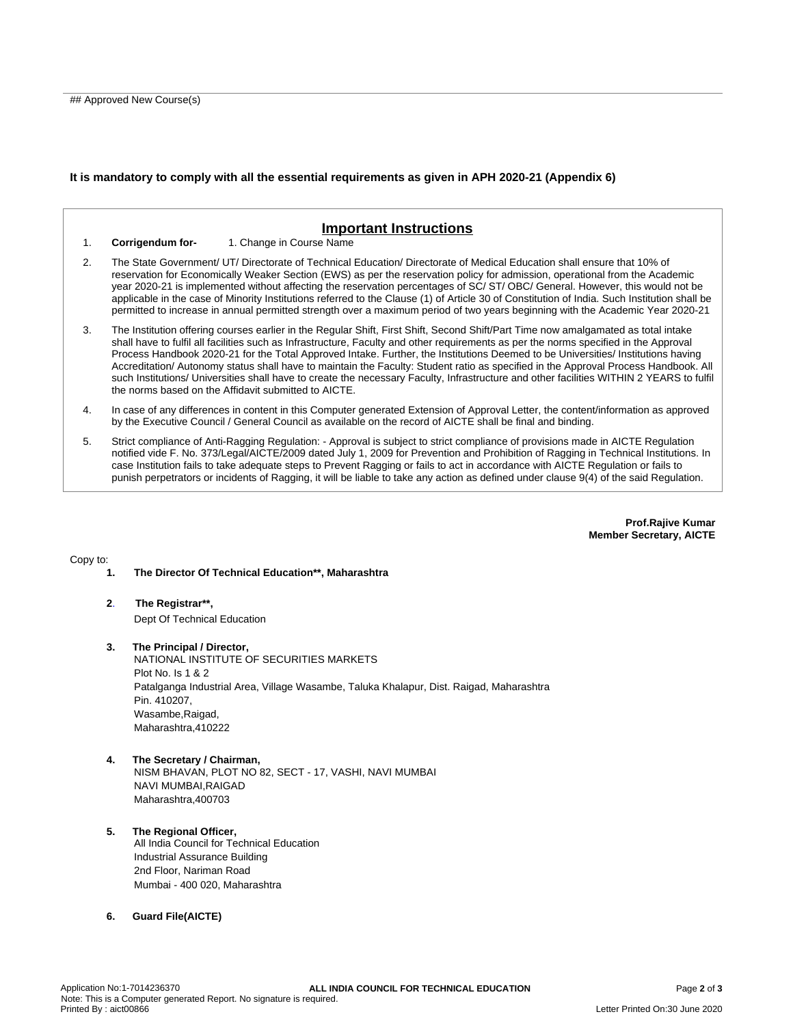### **It is mandatory to comply with all the essential requirements as given in APH 2020-21 (Appendix 6)**

## **Important Instructions** 1. **Corrigendum for-** 1. Change in Course Name 2. The State Government/ UT/ Directorate of Technical Education/ Directorate of Medical Education shall ensure that 10% of reservation for Economically Weaker Section (EWS) as per the reservation policy for admission, operational from the Academic year 2020-21 is implemented without affecting the reservation percentages of SC/ ST/ OBC/ General. However, this would not be applicable in the case of Minority Institutions referred to the Clause (1) of Article 30 of Constitution of India. Such Institution shall be permitted to increase in annual permitted strength over a maximum period of two years beginning with the Academic Year 2020-21 3. The Institution offering courses earlier in the Regular Shift, First Shift, Second Shift/Part Time now amalgamated as total intake shall have to fulfil all facilities such as Infrastructure, Faculty and other requirements as per the norms specified in the Approval Process Handbook 2020-21 for the Total Approved Intake. Further, the Institutions Deemed to be Universities/ Institutions having Accreditation/ Autonomy status shall have to maintain the Faculty: Student ratio as specified in the Approval Process Handbook. All such Institutions/ Universities shall have to create the necessary Faculty, Infrastructure and other facilities WITHIN 2 YEARS to fulfil the norms based on the Affidavit submitted to AICTE. 4. In case of any differences in content in this Computer generated Extension of Approval Letter, the content/information as approved by the Executive Council / General Council as available on the record of AICTE shall be final and binding.

5. Strict compliance of Anti-Ragging Regulation: - Approval is subject to strict compliance of provisions made in AICTE Regulation notified vide F. No. 373/Legal/AICTE/2009 dated July 1, 2009 for Prevention and Prohibition of Ragging in Technical Institutions. In case Institution fails to take adequate steps to Prevent Ragging or fails to act in accordance with AICTE Regulation or fails to punish perpetrators or incidents of Ragging, it will be liable to take any action as defined under clause 9(4) of the said Regulation.

> **Prof.Rajive Kumar Member Secretary, AICTE**

Copy to:

**1. The Director Of Technical Education\*\*, Maharashtra**

- **2**. **The Registrar\*\*,** Dept Of Technical Education
- **3. The Principal / Director,** NATIONAL INSTITUTE OF SECURITIES MARKETS Plot No. Is 1 & 2 Patalganga Industrial Area, Village Wasambe, Taluka Khalapur, Dist. Raigad, Maharashtra Pin. 410207, Wasambe,Raigad, Maharashtra,410222
- **4. The Secretary / Chairman,** NISM BHAVAN, PLOT NO 82, SECT - 17, VASHI, NAVI MUMBAI NAVI MUMBAI,RAIGAD Maharashtra,400703
- **5. The Regional Officer,** All India Council for Technical Education Industrial Assurance Building 2nd Floor, Nariman Road Mumbai - 400 020, Maharashtra
- **6. Guard File(AICTE)**